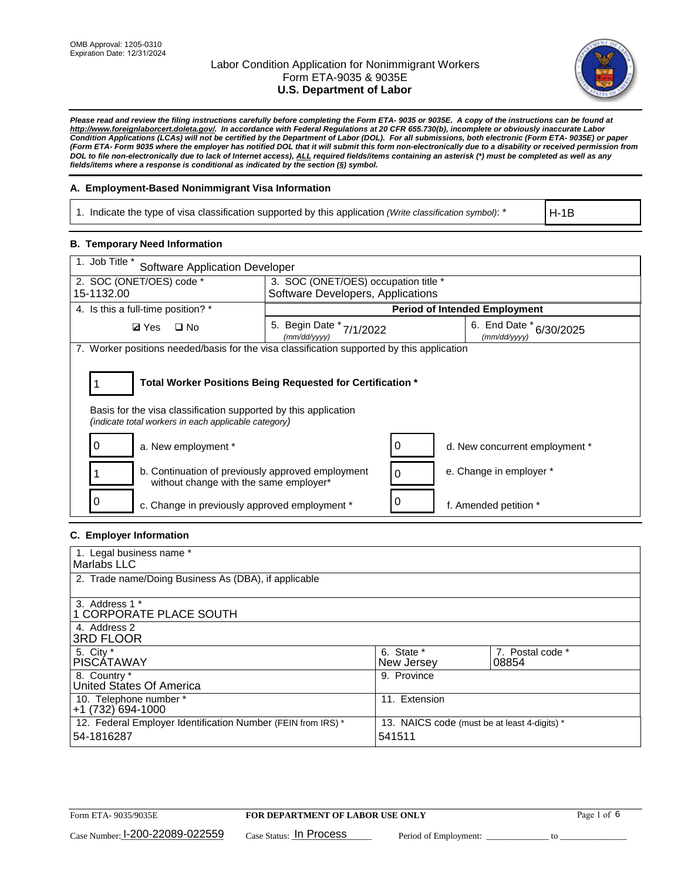

*Please read and review the filing instructions carefully before completing the Form ETA- 9035 or 9035E. A copy of the instructions can be found at http://www.foreignlaborcert.doleta.gov/. In accordance with Federal Regulations at 20 CFR 655.730(b), incomplete or obviously inaccurate Labor Condition Applications (LCAs) will not be certified by the Department of Labor (DOL). For all submissions, both electronic (Form ETA- 9035E) or paper (Form ETA- Form 9035 where the employer has notified DOL that it will submit this form non-electronically due to a disability or received permission from DOL to file non-electronically due to lack of Internet access), ALL required fields/items containing an asterisk (\*) must be completed as well as any fields/items where a response is conditional as indicated by the section (§) symbol.* 

### **A. Employment-Based Nonimmigrant Visa Information**

1. Indicate the type of visa classification supported by this application *(Write classification symbol)*: \*

H-1B

### **B. Temporary Need Information**

| 1. Job Title *<br><b>Software Application Developer</b>                                                                                                                               |                                          |  |                                             |  |  |
|---------------------------------------------------------------------------------------------------------------------------------------------------------------------------------------|------------------------------------------|--|---------------------------------------------|--|--|
| 2. SOC (ONET/OES) code *                                                                                                                                                              | 3. SOC (ONET/OES) occupation title *     |  |                                             |  |  |
| 15-1132.00                                                                                                                                                                            | Software Developers, Applications        |  |                                             |  |  |
| 4. Is this a full-time position? *                                                                                                                                                    |                                          |  | <b>Period of Intended Employment</b>        |  |  |
| <b>Ø</b> Yes<br>$\Box$ No                                                                                                                                                             | 5. Begin Date * 7/1/2022<br>(mm/dd/yyyy) |  | 6. End Date $*_{6/30/2025}$<br>(mm/dd/vvvv) |  |  |
| 7. Worker positions needed/basis for the visa classification supported by this application                                                                                            |                                          |  |                                             |  |  |
| Total Worker Positions Being Requested for Certification *<br>Basis for the visa classification supported by this application<br>(indicate total workers in each applicable category) |                                          |  |                                             |  |  |
| a. New employment *                                                                                                                                                                   |                                          |  | d. New concurrent employment *              |  |  |
| b. Continuation of previously approved employment<br>without change with the same employer*                                                                                           |                                          |  | e. Change in employer *                     |  |  |
| c. Change in previously approved employment *                                                                                                                                         |                                          |  | f. Amended petition *                       |  |  |

## **C. Employer Information**

| 1. Legal business name *                                     |                                              |                  |
|--------------------------------------------------------------|----------------------------------------------|------------------|
| Marlabs LLC                                                  |                                              |                  |
| 2. Trade name/Doing Business As (DBA), if applicable         |                                              |                  |
|                                                              |                                              |                  |
| 3. Address 1 *                                               |                                              |                  |
| 1 CORPORATE PLACE SOUTH                                      |                                              |                  |
| 4. Address 2                                                 |                                              |                  |
| <b>3RD FLOOR</b>                                             |                                              |                  |
| 5. City *                                                    | 6. State *                                   | 7. Postal code * |
| <b>PISCÁTAWAY</b>                                            | New Jersey                                   | 08854            |
| 8. Country *                                                 | 9. Province                                  |                  |
| United States Of America                                     |                                              |                  |
| 10. Telephone number *                                       | 11. Extension                                |                  |
| +1 (732) 694-1000                                            |                                              |                  |
| 12. Federal Employer Identification Number (FEIN from IRS) * | 13. NAICS code (must be at least 4-digits) * |                  |
| 54-1816287                                                   | 541511                                       |                  |
|                                                              |                                              |                  |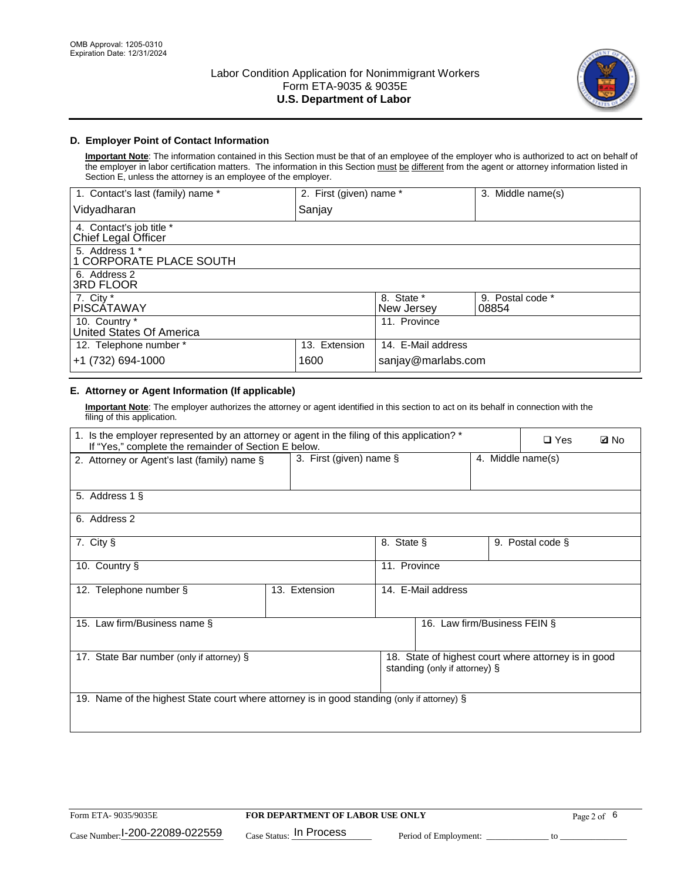

## **D. Employer Point of Contact Information**

**Important Note**: The information contained in this Section must be that of an employee of the employer who is authorized to act on behalf of the employer in labor certification matters. The information in this Section must be different from the agent or attorney information listed in Section E, unless the attorney is an employee of the employer.

| 1. Contact's last (family) name *               | 2. First (given) name * |                          | 3. Middle name(s)         |
|-------------------------------------------------|-------------------------|--------------------------|---------------------------|
| Vidyadharan                                     | Sanjay                  |                          |                           |
| 4. Contact's job title *<br>Chief Legal Officer |                         |                          |                           |
| 5. Address 1 *<br>1 CORPORATE PLACE SOUTH       |                         |                          |                           |
| 6. Address 2<br>3RD FLOOR                       |                         |                          |                           |
| 7. City $*$<br><b>PISCÁTAWAY</b>                |                         | 8. State *<br>New Jersey | 9. Postal code *<br>08854 |
| 10. Country *<br>United States Of America       |                         | 11. Province             |                           |
| 12. Telephone number *                          | 13. Extension           | 14. E-Mail address       |                           |
| +1 (732) 694-1000                               | 1600                    | sanjay@marlabs.com       |                           |

## **E. Attorney or Agent Information (If applicable)**

**Important Note**: The employer authorizes the attorney or agent identified in this section to act on its behalf in connection with the filing of this application.

| 1. Is the employer represented by an attorney or agent in the filing of this application? *<br>If "Yes," complete the remainder of Section E below. |                         |              |                               |                   | $\square$ Yes                                        | <b>ØNo</b> |
|-----------------------------------------------------------------------------------------------------------------------------------------------------|-------------------------|--------------|-------------------------------|-------------------|------------------------------------------------------|------------|
| 2. Attorney or Agent's last (family) name §                                                                                                         | 3. First (given) name § |              |                               | 4. Middle name(s) |                                                      |            |
| 5. Address 1 §                                                                                                                                      |                         |              |                               |                   |                                                      |            |
| 6. Address 2                                                                                                                                        |                         |              |                               |                   |                                                      |            |
| 7. City §                                                                                                                                           |                         | 8. State §   |                               |                   | 9. Postal code §                                     |            |
| 10. Country §                                                                                                                                       |                         | 11. Province |                               |                   |                                                      |            |
| 12. Telephone number §                                                                                                                              | 13. Extension           |              | 14. E-Mail address            |                   |                                                      |            |
| 15. Law firm/Business name §                                                                                                                        |                         |              | 16. Law firm/Business FEIN §  |                   |                                                      |            |
| 17. State Bar number (only if attorney) §                                                                                                           |                         |              | standing (only if attorney) § |                   | 18. State of highest court where attorney is in good |            |
| 19. Name of the highest State court where attorney is in good standing (only if attorney) §                                                         |                         |              |                               |                   |                                                      |            |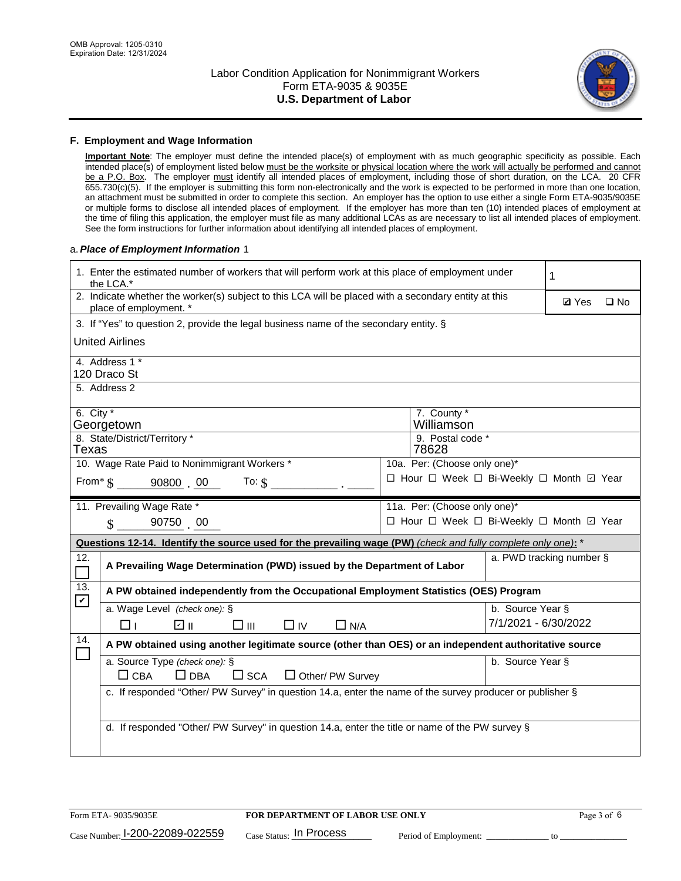

#### **F. Employment and Wage Information**

**Important Note**: The employer must define the intended place(s) of employment with as much geographic specificity as possible. Each intended place(s) of employment listed below must be the worksite or physical location where the work will actually be performed and cannot be a P.O. Box. The employer must identify all intended places of employment, including those of short duration, on the LCA. 20 CFR 655.730(c)(5). If the employer is submitting this form non-electronically and the work is expected to be performed in more than one location, an attachment must be submitted in order to complete this section. An employer has the option to use either a single Form ETA-9035/9035E or multiple forms to disclose all intended places of employment. If the employer has more than ten (10) intended places of employment at the time of filing this application, the employer must file as many additional LCAs as are necessary to list all intended places of employment. See the form instructions for further information about identifying all intended places of employment.

### a.*Place of Employment Information* 1

|                                                                              | 1. Enter the estimated number of workers that will perform work at this place of employment under<br>the LCA.*                 |  |                                          |                      |                          |              |  |
|------------------------------------------------------------------------------|--------------------------------------------------------------------------------------------------------------------------------|--|------------------------------------------|----------------------|--------------------------|--------------|--|
|                                                                              | 2. Indicate whether the worker(s) subject to this LCA will be placed with a secondary entity at this<br>place of employment. * |  |                                          |                      | <b>Ø</b> Yes             | $\square$ No |  |
|                                                                              | 3. If "Yes" to question 2, provide the legal business name of the secondary entity. §                                          |  |                                          |                      |                          |              |  |
|                                                                              | <b>United Airlines</b>                                                                                                         |  |                                          |                      |                          |              |  |
|                                                                              | 4. Address 1 *<br>120 Draco St                                                                                                 |  |                                          |                      |                          |              |  |
|                                                                              | 5. Address 2                                                                                                                   |  |                                          |                      |                          |              |  |
|                                                                              | 6. City $*$<br>7. County *<br>Williamson<br>Georgetown                                                                         |  |                                          |                      |                          |              |  |
| 8. State/District/Territory *<br>Texas                                       |                                                                                                                                |  | 9. Postal code *<br>78628                |                      |                          |              |  |
| 10. Wage Rate Paid to Nonimmigrant Workers *<br>10a. Per: (Choose only one)* |                                                                                                                                |  |                                          |                      |                          |              |  |
|                                                                              | From $\frac{1}{5}$ 90800 00<br>To: $$$                                                                                         |  | □ Hour □ Week □ Bi-Weekly □ Month 回 Year |                      |                          |              |  |
| 11. Prevailing Wage Rate *<br>11a. Per: (Choose only one)*                   |                                                                                                                                |  |                                          |                      |                          |              |  |
|                                                                              | 90750 00<br>$\mathbf{\hat{S}}$                                                                                                 |  | □ Hour □ Week □ Bi-Weekly □ Month 回 Year |                      |                          |              |  |
|                                                                              | Questions 12-14. Identify the source used for the prevailing wage (PW) (check and fully complete only one): *                  |  |                                          |                      |                          |              |  |
| 12.<br>$\mathcal{L}_{\mathcal{A}}$                                           | A Prevailing Wage Determination (PWD) issued by the Department of Labor                                                        |  |                                          |                      | a. PWD tracking number § |              |  |
| 13.<br>$\boxed{\checkmark}$                                                  | A PW obtained independently from the Occupational Employment Statistics (OES) Program                                          |  |                                          |                      |                          |              |  |
|                                                                              | a. Wage Level (check one): §                                                                                                   |  |                                          | b. Source Year §     |                          |              |  |
|                                                                              | ☑ ॥<br>□⊥<br>$\square$ $\square$<br>$\Box$ IV<br>$\Box$ N/A                                                                    |  |                                          | 7/1/2021 - 6/30/2022 |                          |              |  |
| 14.                                                                          | A PW obtained using another legitimate source (other than OES) or an independent authoritative source                          |  |                                          |                      |                          |              |  |
|                                                                              | a. Source Type (check one): §<br>$\Box$ CBA<br>$\Box$ DBA<br>$\Box$ SCA<br>$\Box$ Other/ PW Survey                             |  |                                          | b. Source Year §     |                          |              |  |
|                                                                              | c. If responded "Other/ PW Survey" in question 14.a, enter the name of the survey producer or publisher §                      |  |                                          |                      |                          |              |  |
|                                                                              | d. If responded "Other/ PW Survey" in question 14.a, enter the title or name of the PW survey §                                |  |                                          |                      |                          |              |  |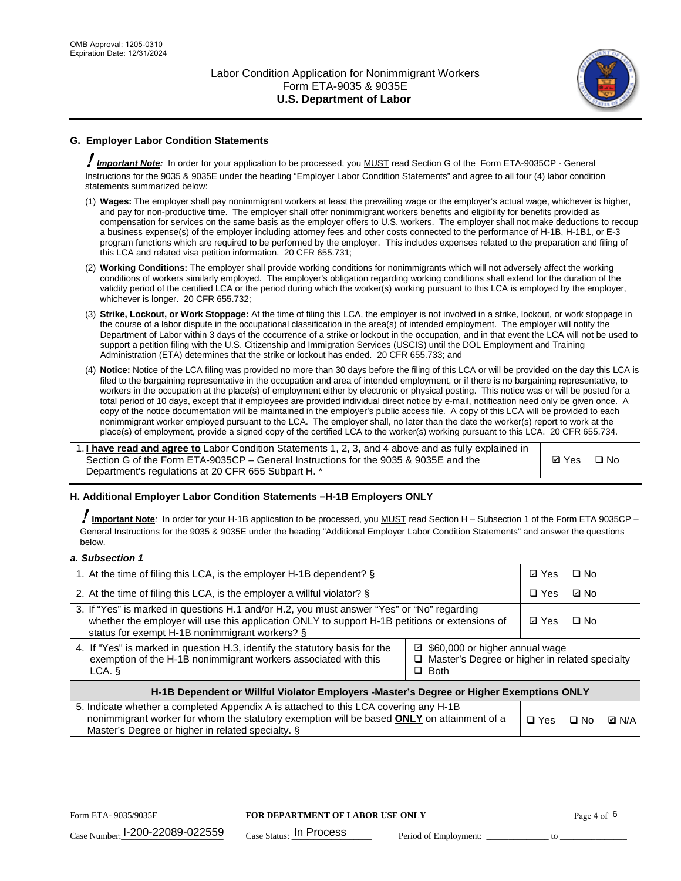

# **G. Employer Labor Condition Statements**

! *Important Note:* In order for your application to be processed, you MUST read Section G of the Form ETA-9035CP - General Instructions for the 9035 & 9035E under the heading "Employer Labor Condition Statements" and agree to all four (4) labor condition statements summarized below:

- (1) **Wages:** The employer shall pay nonimmigrant workers at least the prevailing wage or the employer's actual wage, whichever is higher, and pay for non-productive time. The employer shall offer nonimmigrant workers benefits and eligibility for benefits provided as compensation for services on the same basis as the employer offers to U.S. workers. The employer shall not make deductions to recoup a business expense(s) of the employer including attorney fees and other costs connected to the performance of H-1B, H-1B1, or E-3 program functions which are required to be performed by the employer. This includes expenses related to the preparation and filing of this LCA and related visa petition information. 20 CFR 655.731;
- (2) **Working Conditions:** The employer shall provide working conditions for nonimmigrants which will not adversely affect the working conditions of workers similarly employed. The employer's obligation regarding working conditions shall extend for the duration of the validity period of the certified LCA or the period during which the worker(s) working pursuant to this LCA is employed by the employer, whichever is longer. 20 CFR 655.732;
- (3) **Strike, Lockout, or Work Stoppage:** At the time of filing this LCA, the employer is not involved in a strike, lockout, or work stoppage in the course of a labor dispute in the occupational classification in the area(s) of intended employment. The employer will notify the Department of Labor within 3 days of the occurrence of a strike or lockout in the occupation, and in that event the LCA will not be used to support a petition filing with the U.S. Citizenship and Immigration Services (USCIS) until the DOL Employment and Training Administration (ETA) determines that the strike or lockout has ended. 20 CFR 655.733; and
- (4) **Notice:** Notice of the LCA filing was provided no more than 30 days before the filing of this LCA or will be provided on the day this LCA is filed to the bargaining representative in the occupation and area of intended employment, or if there is no bargaining representative, to workers in the occupation at the place(s) of employment either by electronic or physical posting. This notice was or will be posted for a total period of 10 days, except that if employees are provided individual direct notice by e-mail, notification need only be given once. A copy of the notice documentation will be maintained in the employer's public access file. A copy of this LCA will be provided to each nonimmigrant worker employed pursuant to the LCA. The employer shall, no later than the date the worker(s) report to work at the place(s) of employment, provide a signed copy of the certified LCA to the worker(s) working pursuant to this LCA. 20 CFR 655.734.

1. **I have read and agree to** Labor Condition Statements 1, 2, 3, and 4 above and as fully explained in Section G of the Form ETA-9035CP – General Instructions for the 9035 & 9035E and the Department's regulations at 20 CFR 655 Subpart H. \*

**Ø**Yes ロNo

### **H. Additional Employer Labor Condition Statements –H-1B Employers ONLY**

!**Important Note***:* In order for your H-1B application to be processed, you MUST read Section H – Subsection 1 of the Form ETA 9035CP – General Instructions for the 9035 & 9035E under the heading "Additional Employer Labor Condition Statements" and answer the questions below.

#### *a. Subsection 1*

| 1. At the time of filing this LCA, is the employer H-1B dependent? §                                                                                                                                                                           |                                                                                                     | ⊡ Yes | $\square$ No |              |
|------------------------------------------------------------------------------------------------------------------------------------------------------------------------------------------------------------------------------------------------|-----------------------------------------------------------------------------------------------------|-------|--------------|--------------|
| 2. At the time of filing this LCA, is the employer a willful violator? $\S$                                                                                                                                                                    |                                                                                                     |       | ⊡ No         |              |
| 3. If "Yes" is marked in questions H.1 and/or H.2, you must answer "Yes" or "No" regarding<br>whether the employer will use this application ONLY to support H-1B petitions or extensions of<br>status for exempt H-1B nonimmigrant workers? § |                                                                                                     |       | $\Box$ No    |              |
| 4. If "Yes" is marked in question H.3, identify the statutory basis for the<br>exemption of the H-1B nonimmigrant workers associated with this<br>LCA. §                                                                                       | □ \$60,000 or higher annual wage<br>□ Master's Degree or higher in related specialty<br>$\Box$ Both |       |              |              |
| H-1B Dependent or Willful Violator Employers -Master's Degree or Higher Exemptions ONLY                                                                                                                                                        |                                                                                                     |       |              |              |
| 5. Indicate whether a completed Appendix A is attached to this LCA covering any H-1B<br>nonimmigrant worker for whom the statutory exemption will be based <b>ONLY</b> on attainment of a<br>Master's Degree or higher in related specialty. § |                                                                                                     |       | ⊟ No         | <b>Q</b> N/A |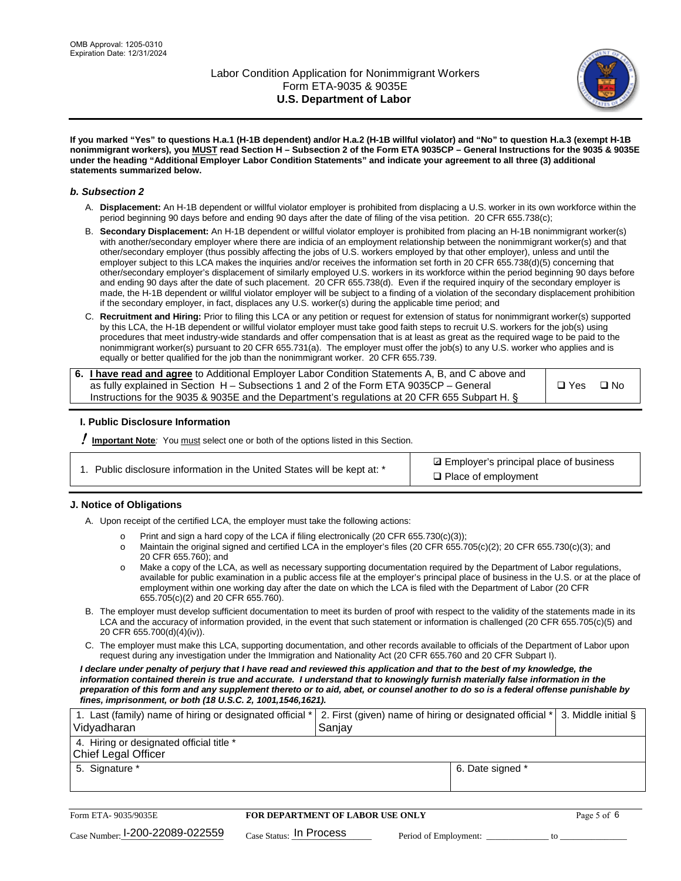

**If you marked "Yes" to questions H.a.1 (H-1B dependent) and/or H.a.2 (H-1B willful violator) and "No" to question H.a.3 (exempt H-1B nonimmigrant workers), you MUST read Section H – Subsection 2 of the Form ETA 9035CP – General Instructions for the 9035 & 9035E under the heading "Additional Employer Labor Condition Statements" and indicate your agreement to all three (3) additional statements summarized below.**

#### *b. Subsection 2*

- A. **Displacement:** An H-1B dependent or willful violator employer is prohibited from displacing a U.S. worker in its own workforce within the period beginning 90 days before and ending 90 days after the date of filing of the visa petition. 20 CFR 655.738(c);
- B. **Secondary Displacement:** An H-1B dependent or willful violator employer is prohibited from placing an H-1B nonimmigrant worker(s) with another/secondary employer where there are indicia of an employment relationship between the nonimmigrant worker(s) and that other/secondary employer (thus possibly affecting the jobs of U.S. workers employed by that other employer), unless and until the employer subject to this LCA makes the inquiries and/or receives the information set forth in 20 CFR 655.738(d)(5) concerning that other/secondary employer's displacement of similarly employed U.S. workers in its workforce within the period beginning 90 days before and ending 90 days after the date of such placement. 20 CFR 655.738(d). Even if the required inquiry of the secondary employer is made, the H-1B dependent or willful violator employer will be subject to a finding of a violation of the secondary displacement prohibition if the secondary employer, in fact, displaces any U.S. worker(s) during the applicable time period; and
- C. **Recruitment and Hiring:** Prior to filing this LCA or any petition or request for extension of status for nonimmigrant worker(s) supported by this LCA, the H-1B dependent or willful violator employer must take good faith steps to recruit U.S. workers for the job(s) using procedures that meet industry-wide standards and offer compensation that is at least as great as the required wage to be paid to the nonimmigrant worker(s) pursuant to 20 CFR 655.731(a). The employer must offer the job(s) to any U.S. worker who applies and is equally or better qualified for the job than the nonimmigrant worker. 20 CFR 655.739.

| 6. I have read and agree to Additional Employer Labor Condition Statements A, B, and C above and |       |           |
|--------------------------------------------------------------------------------------------------|-------|-----------|
| as fully explained in Section H – Subsections 1 and 2 of the Form ETA 9035CP – General           | □ Yes | $\Box$ No |
| Instructions for the 9035 & 9035E and the Department's regulations at 20 CFR 655 Subpart H. §    |       |           |

### **I. Public Disclosure Information**

! **Important Note***:* You must select one or both of the options listed in this Section.

| 1. Public disclosure information in the United States will be kept at: * |  |  |  |  |  |  |  |
|--------------------------------------------------------------------------|--|--|--|--|--|--|--|
|--------------------------------------------------------------------------|--|--|--|--|--|--|--|

**sqrt** Employer's principal place of business □ Place of employment

### **J. Notice of Obligations**

A. Upon receipt of the certified LCA, the employer must take the following actions:

- o Print and sign a hard copy of the LCA if filing electronically (20 CFR 655.730(c)(3));<br>
Maintain the original signed and certified LCA in the employer's files (20 CFR 655.7
- Maintain the original signed and certified LCA in the employer's files (20 CFR 655.705(c)(2); 20 CFR 655.730(c)(3); and 20 CFR 655.760); and
- o Make a copy of the LCA, as well as necessary supporting documentation required by the Department of Labor regulations, available for public examination in a public access file at the employer's principal place of business in the U.S. or at the place of employment within one working day after the date on which the LCA is filed with the Department of Labor (20 CFR 655.705(c)(2) and 20 CFR 655.760).
- B. The employer must develop sufficient documentation to meet its burden of proof with respect to the validity of the statements made in its LCA and the accuracy of information provided, in the event that such statement or information is challenged (20 CFR 655.705(c)(5) and 20 CFR 655.700(d)(4)(iv)).
- C. The employer must make this LCA, supporting documentation, and other records available to officials of the Department of Labor upon request during any investigation under the Immigration and Nationality Act (20 CFR 655.760 and 20 CFR Subpart I).

*I declare under penalty of perjury that I have read and reviewed this application and that to the best of my knowledge, the*  information contained therein is true and accurate. I understand that to knowingly furnish materially false information in the *preparation of this form and any supplement thereto or to aid, abet, or counsel another to do so is a federal offense punishable by fines, imprisonment, or both (18 U.S.C. 2, 1001,1546,1621).*

| 1. Last (family) name of hiring or designated official *   2. First (given) name of hiring or designated official *   3. Middle initial §<br>Vidyadharan | Saniav           |  |
|----------------------------------------------------------------------------------------------------------------------------------------------------------|------------------|--|
| 4. Hiring or designated official title *<br>Chief Legal Officer                                                                                          |                  |  |
| 5. Signature *                                                                                                                                           | 6. Date signed * |  |

| Form ETA-9035/9035E                         | <b>FOR DEPARTMENT OF LABOR USE ONLY</b> |                       |  | Page 5 of 6 |
|---------------------------------------------|-----------------------------------------|-----------------------|--|-------------|
| $_{\text{Case Number:}}$ I-200-22089-022559 | $_{\text{Case Status:}}$ In Process     | Period of Employment: |  |             |